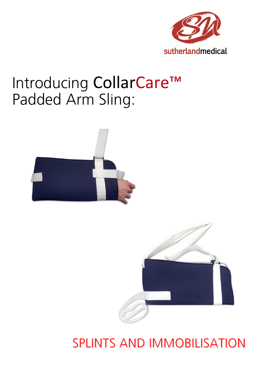

# Introducing CollarCare™ Padded Arm Sling:





### **SPLINTS AND IMMOBILISATION**